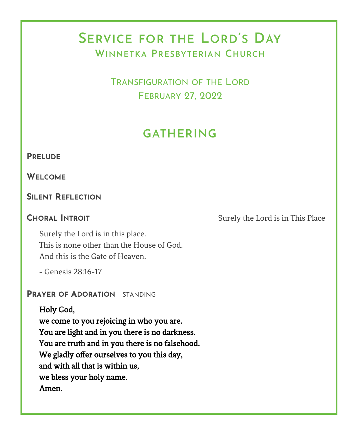# **SERVICE FOR THE LORD'S DAY WINNETKA PRESBYTERIAN CHURCH**

TRANSFIGURATION OF THE LORD FEBRUARY 27, 2022

# **GATHERING**

#### **PRELUDE**

**WELCOME**

### **SILENT REFLECTION**

**CHORAL INTROIT** Surely the Lord is in This Place

Surely the Lord is in this place. This is none other than the House of God. And this is the Gate of Heaven.

- Genesis 28:16-17

**PRAYER OF ADORATION** | STANDING

Holy God,

we come to you rejoicing in who you are. You are light and in you there is no darkness. You are truth and in you there is no falsehood. We gladly offer ourselves to you this day, and with all that is within us, we bless your holy name. Amen.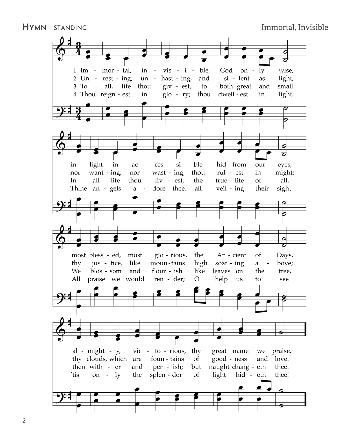**HYMN** | STANDING **IMMORE IMMORE IMMORE IMMORE IMMORE IMMORE IMMORE IMMORE IMMORE IMMORE IMMORE IMMORE IMMORE IMMORE IMMORE IMMORE IMMORE IMMORE IMMORE IMMORE IMMORE IMMORE IMMORE IMMORE IMMORE IMMORE IMMORE IMMORE IMMORE** 

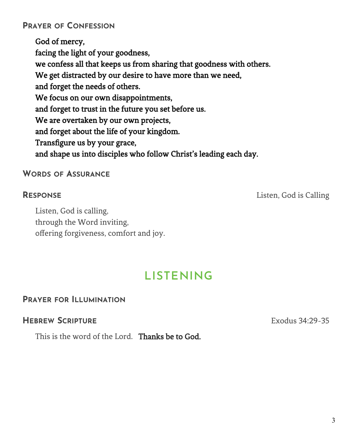## **PRAYER OF CONFESSION**

God of mercy, facing the light of your goodness, we confess all that keeps us from sharing that goodness with others. We get distracted by our desire to have more than we need, and forget the needs of others. We focus on our own disappointments, and forget to trust in the future you set before us. We are overtaken by our own projects, and forget about the life of your kingdom. Transfigure us by your grace, and shape us into disciples who follow Christ's leading each day.

#### **WORDS OF ASSURANCE**

Listen, God is calling, through the Word inviting, offering forgiveness, comfort and joy.

#### **RESPONSE** Listen, God is Calling

# **LISTENING**

#### **PRAYER FOR ILLUMINATION**

#### **HEBREW SCRIPTURE** EXAMPLE **EXAMPLE 24:29-35**

This is the word of the Lord. Thanks be to God.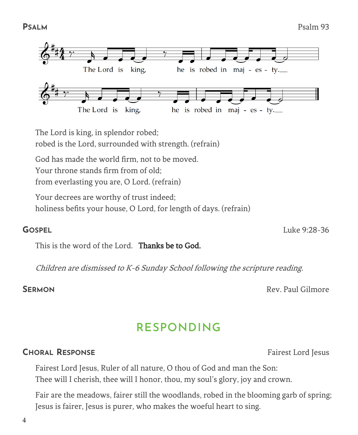4



The Lord is king, in splendor robed; robed is the Lord, surrounded with strength. (refrain)

God has made the world firm, not to be moved. Your throne stands firm from of old;

from everlasting you are, O Lord. (refrain)

Your decrees are worthy of trust indeed; holiness befits your house, O Lord, for length of days. (refrain)

This is the word of the Lord. Thanks be to God.

Children are dismissed to K-6 Sunday School following the scripture reading.

**SERMON** Rev. Paul Gilmore

# **RESPONDING**

## **CHORAL RESPONSE** Fairest Lord Jesus

Fairest Lord Jesus, Ruler of all nature, O thou of God and man the Son: Thee will I cherish, thee will I honor, thou, my soul's glory, joy and crown.

Fair are the meadows, fairer still the woodlands, robed in the blooming garb of spring; Jesus is fairer, Jesus is purer, who makes the woeful heart to sing.

**GOSPEL** Luke 9:28-36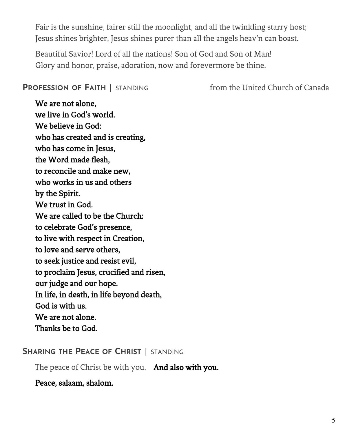Fair is the sunshine, fairer still the moonlight, and all the twinkling starry host; Jesus shines brighter, Jesus shines purer than all the angels heav'n can boast.

Beautiful Savior! Lord of all the nations! Son of God and Son of Man! Glory and honor, praise, adoration, now and forevermore be thine.

#### **PROFESSION OF FAITH** | STANDING from the United Church of Canada

We are not alone, we live in God's world. We believe in God: who has created and is creating, who has come in Jesus, the Word made flesh, to reconcile and make new, who works in us and others by the Spirit. We trust in God. We are called to be the Church: to celebrate God's presence, to live with respect in Creation, to love and serve others, to seek justice and resist evil, to proclaim Jesus, crucified and risen, our judge and our hope. In life, in death, in life beyond death, God is with us. We are not alone. Thanks be to God.

#### **SHARING THE PEACE OF CHRIST** | STANDING

The peace of Christ be with you. And also with you.

Peace, salaam, shalom.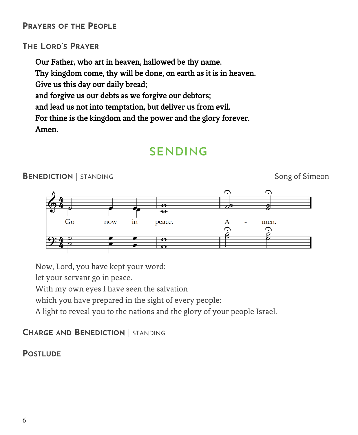### **PRAYERS OF THE PEOPLE**

## **THE LORD'S PRAYER**

Our Father, who art in heaven, hallowed be thy name. Thy kingdom come, thy will be done, on earth as it is in heaven. Give us this day our daily bread; and forgive us our debts as we forgive our debtors; and lead us not into temptation, but deliver us from evil. For thine is the kingdom and the power and the glory forever. Amen.

# **SENDING**



Now, Lord, you have kept your word:

let your servant go in peace.

With my own eyes I have seen the salvation

which you have prepared in the sight of every people:

A light to reveal you to the nations and the glory of your people Israel.

## **CHARGE AND BENEDICTION** | STANDING

## **POSTLUDE**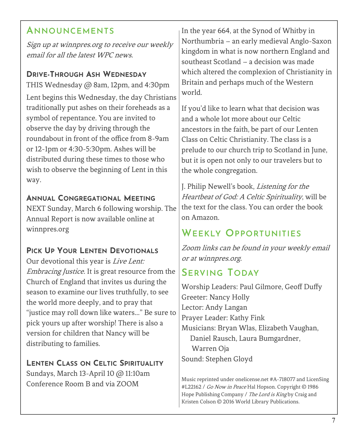# **ANNOUNCEMENTS**

Sign up at winnpres.org to receive our weekly email for all the latest WPC news.

### **DRIVE-THROUGH ASH WEDNESDAY**

THIS Wednesday @ 8am, 12pm, and 4:30pm Lent begins this Wednesday, the day Christians traditionally put ashes on their foreheads as a symbol of repentance. You are invited to observe the day by driving through the roundabout in front of the office from 8-9am or 12-1pm or 4:30-5:30pm. Ashes will be distributed during these times to those who wish to observe the beginning of Lent in this way.

### **ANNUAL CONGREGATIONAL MEETING**

NEXT Sunday, March 6 following worship. The Annual Report is now available online at winnpres.org

## **PICK UP YOUR LENTEN DEVOTIONALS**

Our devotional this year is *Live Lent:* Embracing Justice. It is great resource from the Church of England that invites us during the season to examine our lives truthfully, to see the world more deeply, and to pray that "justice may roll down like waters…" Be sure to pick yours up after worship! There is also a version for children that Nancy will be distributing to families.

**LENTEN CLASS ON CELTIC SPIRITUALITY** Sundays, March 13-April 10 @ 11:10am Conference Room B and via ZOOM

In the year 664, at the Synod of Whitby in Northumbria – an early medieval Anglo-Saxon kingdom in what is now northern England and southeast Scotland – a decision was made which altered the complexion of Christianity in Britain and perhaps much of the Western world.

If you'd like to learn what that decision was and a whole lot more about our Celtic ancestors in the faith, be part of our Lenten Class on Celtic Christianity. The class is a prelude to our church trip to Scotland in June, but it is open not only to our travelers but to the whole congregation.

J. Philip Newell's book, Listening for the Heartbeat of God: A Celtic Spirituality, will be the text for the class. You can order the book on Amazon.

# **WEEKLY OPPORTUNITIES**

Zoom links can be found in your weekly email or at winnpres.org.

# **SERVING TODAY**

Worship Leaders: Paul Gilmore, Geoff Duffy Greeter: Nancy Holly Lector: Andy Langan Prayer Leader: Kathy Fink Musicians: Bryan Wlas, Elizabeth Vaughan, Daniel Rausch, Laura Bumgardner, Warren Oja Sound: Stephen Gloyd

Music reprinted under onelicense.net #A-718077 and LicenSing #L22162 / Go Now in Peace Hal Hopson. Copyright © 1986 Hope Publishing Company / The Lord is King by Craig and Kristen Colson © 2016 World Library Publications.